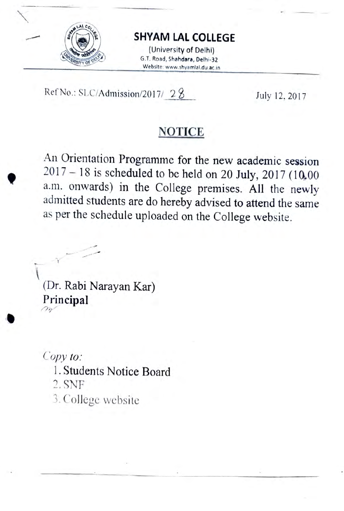

## SHYAM LAL COLLEGE

(University of Delhi) G.T. Road, Shahdara, Delhi-32 Website: www.shyamlal.du.ac.in

Ref No.: SLC/Admission/2017/ 28 July 12, 2017

## **NOTICE**

An Orientation Programme for the new academic session  $2017 - 18$  is scheduled to be held on 20 July, 2017 (10,00 a.m. onwards) in the College premises. All the newly admitted students are do hereby advised to attend the same as per the schedule uploaded on the College website.

(Dr. Rabi Narayan Kar) Principal

Copy to:

- 1.Students Notice Board
- 2.SNF
- 3. College website